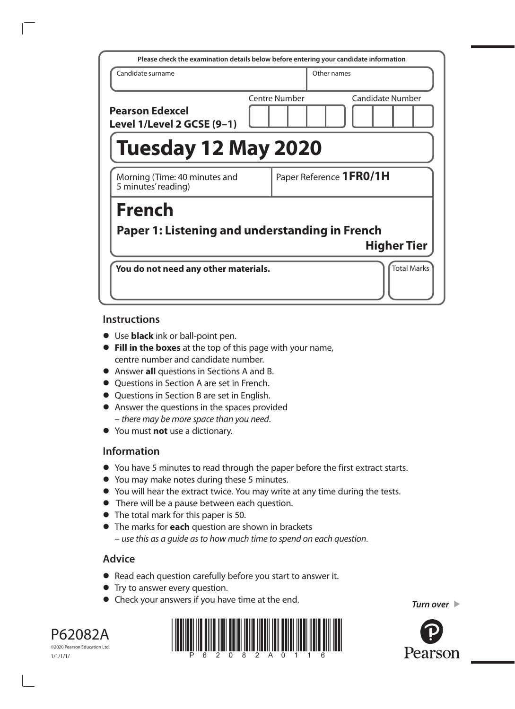| Please check the examination details below before entering your candidate information |               |             |                         |
|---------------------------------------------------------------------------------------|---------------|-------------|-------------------------|
| Candidate surname                                                                     |               | Other names |                         |
| <b>Pearson Edexcel</b><br>Level 1/Level 2 GCSE (9-1)                                  | Centre Number |             | Candidate Number        |
| Tuesday 12 May 2020                                                                   |               |             |                         |
| Morning (Time: 40 minutes and<br>5 minutes' reading)                                  |               |             | Paper Reference 1FR0/1H |
| <b>French</b>                                                                         |               |             |                         |
| Paper 1: Listening and understanding in French                                        |               |             |                         |
|                                                                                       |               |             | <b>Higher Tier</b>      |
| You do not need any other materials.                                                  |               |             | <b>Total Marks</b>      |

### **Instructions**

- **•** Use **black** ink or ball-point pen.
- **• Fill in the boxes** at the top of this page with your name, centre number and candidate number.
- **•** Answer **all** questions in Sections A and B.
- **•** Questions in Section A are set in French.
- **•** Questions in Section B are set in English.
- **•** Answer the questions in the spaces provided – *there may be more space than you need*.
- **•** You must **not** use a dictionary.

# **Information**

- **•** You have 5 minutes to read through the paper before the first extract starts.
- **•** You may make notes during these 5 minutes.
- **•** You will hear the extract twice. You may write at any time during the tests.
- **•** There will be a pause between each question.
- **•** The total mark for this paper is 50.
- **•** The marks for **each** question are shown in brackets – *use this as a guide as to how much time to spend on each question*.

# **Advice**

- **•** Read each question carefully before you start to answer it.
- **•** Try to answer every question.
- **•** Check your answers if you have time at the end.





©2020 Pearson Education Ltd. 1/1/1/1/

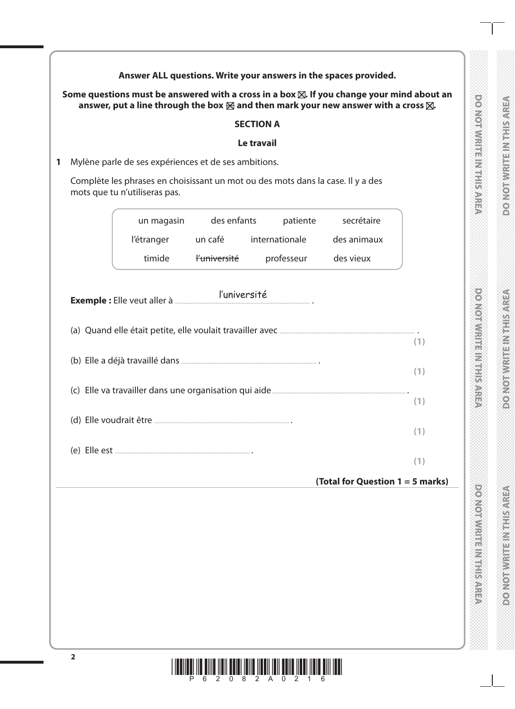|   | Answer ALL questions. Write your answers in the spaces provided.                                                 |              |                  |            |             |                                                                                                      |                                 |
|---|------------------------------------------------------------------------------------------------------------------|--------------|------------------|------------|-------------|------------------------------------------------------------------------------------------------------|---------------------------------|
|   | answer, put a line through the box $\boxtimes$ and then mark your new answer with a cross $\boxtimes$ .          |              |                  |            |             | Some questions must be answered with a cross in a box $\boxtimes$ . If you change your mind about an |                                 |
|   |                                                                                                                  |              | <b>SECTION A</b> |            |             |                                                                                                      |                                 |
|   |                                                                                                                  |              | Le travail       |            |             |                                                                                                      |                                 |
| 1 | Mylène parle de ses expériences et de ses ambitions.                                                             |              |                  |            |             |                                                                                                      |                                 |
|   | Complète les phrases en choisissant un mot ou des mots dans la case. Il y a des<br>mots que tu n'utiliseras pas. |              |                  |            |             |                                                                                                      | <b>DOMORWRITH MIRISARE</b>      |
|   | un magasin                                                                                                       | des enfants  |                  | patiente   | secrétaire  |                                                                                                      |                                 |
|   | l'étranger                                                                                                       | un café      | internationale   |            | des animaux |                                                                                                      |                                 |
|   | timide                                                                                                           | l'université |                  | professeur | des vieux   |                                                                                                      |                                 |
|   |                                                                                                                  | l'université |                  |            |             |                                                                                                      | powowich weise weiserster       |
|   |                                                                                                                  |              |                  |            |             | (1)                                                                                                  |                                 |
|   |                                                                                                                  |              |                  |            |             | (1)                                                                                                  |                                 |
|   |                                                                                                                  |              |                  |            |             |                                                                                                      |                                 |
|   |                                                                                                                  |              |                  |            |             | (1)                                                                                                  |                                 |
|   |                                                                                                                  |              |                  |            |             | (1)                                                                                                  |                                 |
|   |                                                                                                                  |              |                  |            |             |                                                                                                      |                                 |
|   |                                                                                                                  |              |                  |            |             | (1)                                                                                                  |                                 |
|   |                                                                                                                  |              |                  |            |             | (Total for Question 1 = 5 marks)                                                                     |                                 |
|   |                                                                                                                  |              |                  |            |             |                                                                                                      |                                 |
|   |                                                                                                                  |              |                  |            |             |                                                                                                      |                                 |
|   |                                                                                                                  |              |                  |            |             |                                                                                                      |                                 |
|   |                                                                                                                  |              |                  |            |             |                                                                                                      | <b>DO NOTWRITE IN THIS AREA</b> |
|   |                                                                                                                  |              |                  |            |             |                                                                                                      |                                 |
|   |                                                                                                                  |              |                  |            |             |                                                                                                      |                                 |
|   |                                                                                                                  |              |                  |            |             |                                                                                                      |                                 |

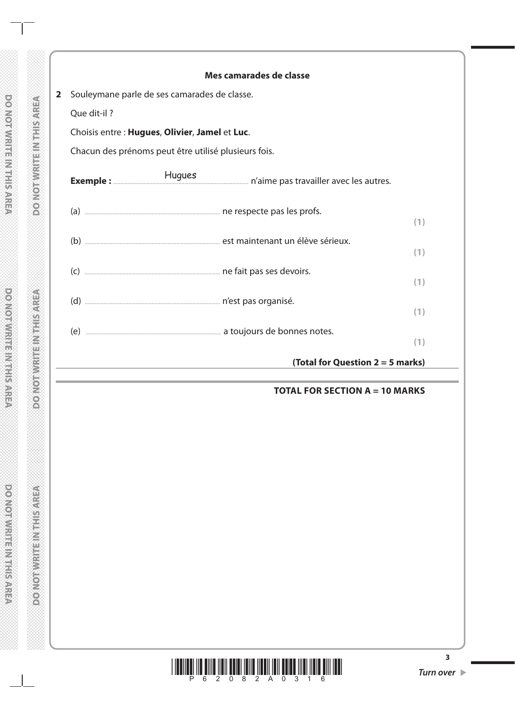|                         |                                                      | Mes camarades de classe            |     |
|-------------------------|------------------------------------------------------|------------------------------------|-----|
| $\overline{\mathbf{2}}$ | Souleymane parle de ses camarades de classe.         |                                    |     |
|                         | Que dit-il?                                          |                                    |     |
|                         | Choisis entre : Hugues, Olivier, Jamel et Luc.       |                                    |     |
|                         | Chacun des prénoms peut être utilisé plusieurs fois. |                                    |     |
|                         |                                                      |                                    |     |
|                         |                                                      |                                    | (1) |
|                         |                                                      |                                    | (1) |
|                         |                                                      |                                    | (1) |
|                         |                                                      |                                    | (1) |
|                         |                                                      |                                    | (1) |
|                         |                                                      | (Total for Question $2 = 5$ marks) |     |

### **TOTAL FOR SECTION A = 10 MARKS**



**3**

**DO NOTWEEPINGER**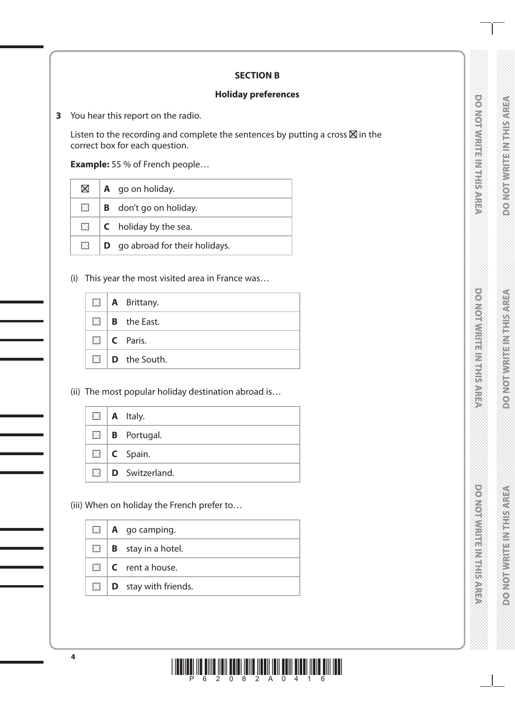# DO NOTWRITE IN THIS AREA

# **DOMOTWRITE/MENSIONSPREA**

### **SECTION B**

### **Holiday preferences**

**3** You hear this report on the radio.

Listen to the recording and complete the sentences by putting a cross  $\boxtimes$  in the correct box for each question.

**Example:** 55 % of French people…

| $\boxtimes$    | $\mathsf{A}\mathsf{q}$ a go on holiday. |
|----------------|-----------------------------------------|
| $\times$       | <b>B</b> don't go on holiday.           |
| $\mathsf{X}$ . | $\mathsf{C}$ holiday by the sea.        |
| X.             | <b>D</b> go abroad for their holidays.  |

(i) This year the most visited area in France was…

|  | $\boxtimes$   <b>A</b> Brittany. |
|--|----------------------------------|
|  | $\boxtimes$   <b>B</b> the East. |
|  | $\Box$ C Paris.                  |
|  | $\Box$ <b>D</b> the South.       |

(ii) The most popular holiday destination abroad is…

|  | $\Box$   A Italy.                 |
|--|-----------------------------------|
|  | $\Box$ <b>B</b> Portugal.         |
|  | $\Box$   <b>C</b> Spain.          |
|  | $\boxtimes$ <b>D</b> Switzerland. |

(iii) When on holiday the French prefer to…

|  | $\Box$   <b>A</b> go camping.            |
|--|------------------------------------------|
|  | $\mathbb{Z}$   <b>B</b> stay in a hotel. |
|  | $\Box$ $\Box$ $\Box$ rent a house.       |
|  | $\Box$ <b>D</b> stay with friends.       |

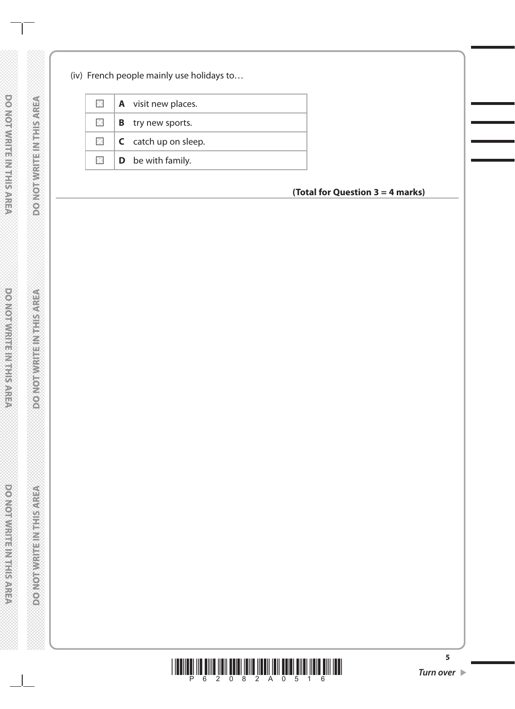### (iv) French people mainly use holidays to…

| $\times$     | <b>A</b> visit new places.      |
|--------------|---------------------------------|
| $\times$     | <b>B</b> try new sports.        |
| $\mathsf{X}$ | $\mathsf{C}$ catch up on sleep. |
|              | $\Box$ <b>D</b> be with family. |

**(Total for Question 3 = 4 marks)**



**5**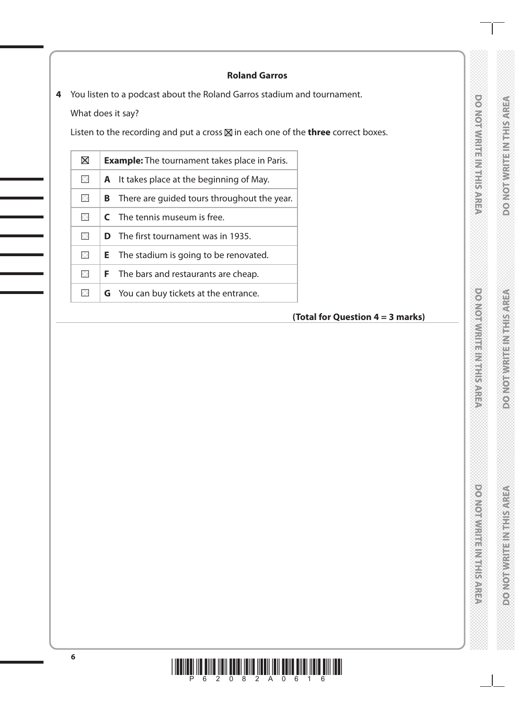# **DONORWRITEIN TERRITAREA**

## **Roland Garros**

**4** You listen to a podcast about the Roland Garros stadium and tournament.

What does it say?

Listen to the recording and put a cross  $\boxtimes$  in each one of the **three** correct boxes.

| $\boxtimes$ |   | <b>Example:</b> The tournament takes place in Paris. |
|-------------|---|------------------------------------------------------|
| $\times$    | A | It takes place at the beginning of May.              |
| $\times$    | в | There are guided tours throughout the year.          |
| ×           |   | <b>C</b> The tennis museum is free.                  |
| $\times$    |   | <b>D</b> The first tournament was in 1935.           |
| $\times$    |   | <b>E</b> The stadium is going to be renovated.       |
| $\times$    |   | <b>F</b> The bars and restaurants are cheap.         |
| $\times$    |   | <b>G</b> You can buy tickets at the entrance.        |

## **(Total for Question 4 = 3 marks)**

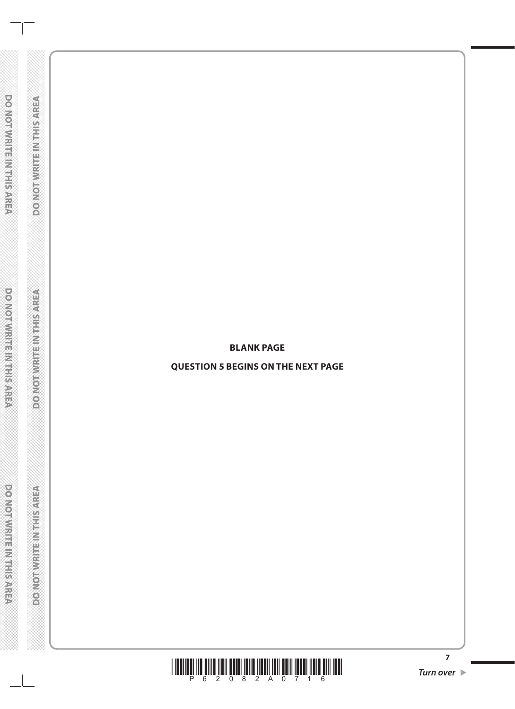**BLANK PAGE**

**QUESTION 5 BEGINS ON THE NEXT PAGE**

 $\frac{1}{2}$  **Figure 11 Figure 11 Figure 11 Turn over**  $\triangleright$ 

**7**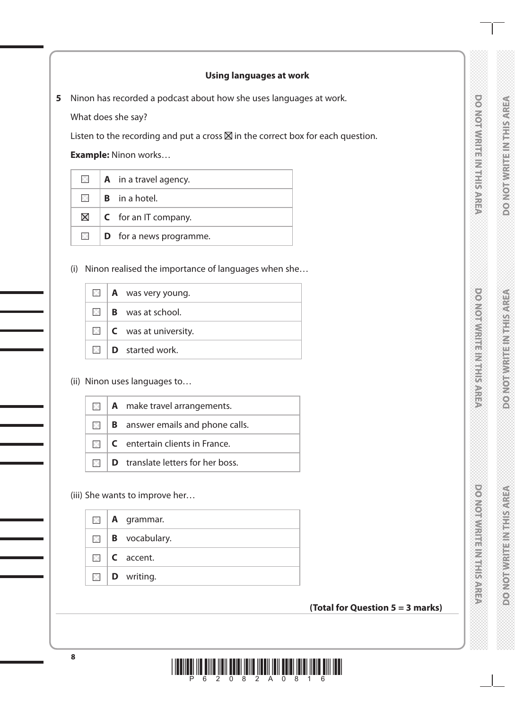# DO NOTWRITE IN THIS AREA

## **Using languages at work**

**5** Ninon has recorded a podcast about how she uses languages at work.

What does she say?

Listen to the recording and put a cross  $\boxtimes$  in the correct box for each question.

**Example:** Ninon works…

| $\boxtimes$ | $\parallel$ <b>A</b> in a travel agency. |
|-------------|------------------------------------------|
|             | $\boxtimes$ <b>B</b> in a hotel.         |
|             | $\boxtimes$ <b>C</b> for an IT company.  |
| $\times$    | $\vert$ <b>D</b> for a news programme.   |

(i) Ninon realised the importance of languages when she…

|  | $\boxtimes$   <b>A</b> was very young. |
|--|----------------------------------------|
|  | $\boxtimes$ <b>B</b> was at school.    |
|  | $\Box$ <b>C</b> was at university.     |
|  | $\Box$ <b>D</b> started work.          |

(ii) Ninon uses languages to…

|  | $\blacksquare$   A make travel arrangements.    |
|--|-------------------------------------------------|
|  | $\Box$ <b>B</b> answer emails and phone calls.  |
|  | $\Box$ <b>C</b> entertain clients in France.    |
|  | $\Box$ <b>D</b> translate letters for her boss. |

(iii) She wants to improve her…

|  | $\Box$   <b>A</b> grammar.  |
|--|-----------------------------|
|  | $\Box$ <b>B</b> vocabulary. |
|  | $\Box$   <b>C</b> accent.   |
|  | $\Box$ <b>D</b> writing.    |

### **(Total for Question 5 = 3 marks)**

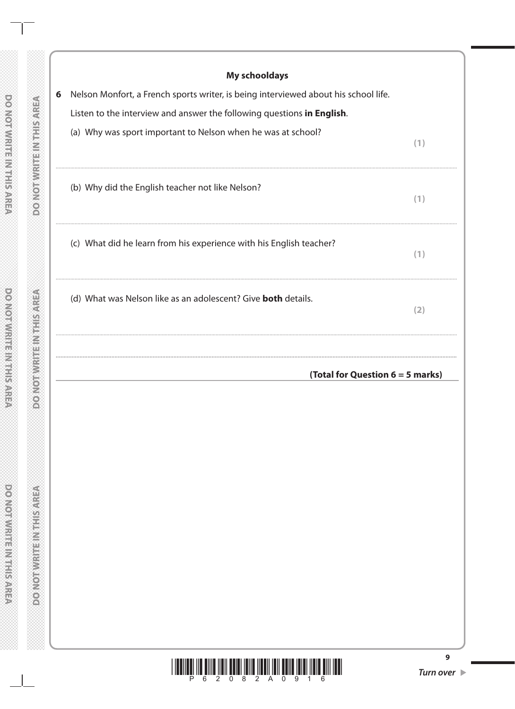| <b>My schooldays</b><br>Nelson Monfort, a French sports writer, is being interviewed about his school life. |     |
|-------------------------------------------------------------------------------------------------------------|-----|
| Listen to the interview and answer the following questions in English.                                      |     |
| (a) Why was sport important to Nelson when he was at school?                                                |     |
|                                                                                                             | (1) |
| (b) Why did the English teacher not like Nelson?                                                            |     |
|                                                                                                             | (1) |
| (c) What did he learn from his experience with his English teacher?                                         | (1) |
|                                                                                                             |     |
| (d) What was Nelson like as an adolescent? Give <b>both</b> details.                                        | (2) |
|                                                                                                             |     |
| (Total for Question $6 = 5$ marks)                                                                          |     |

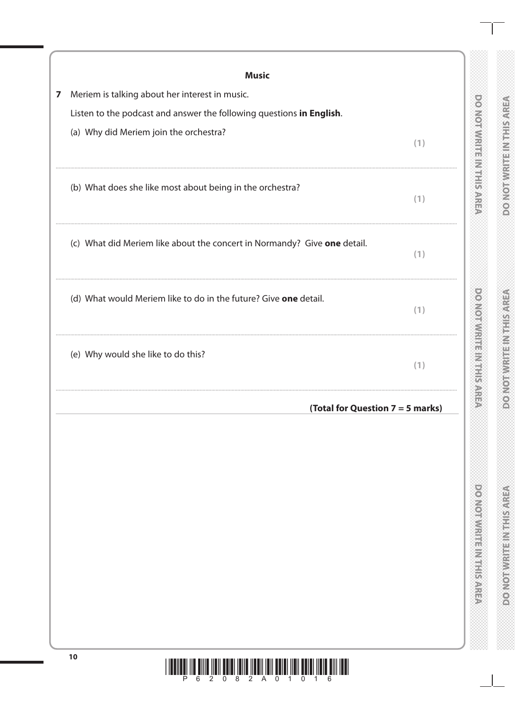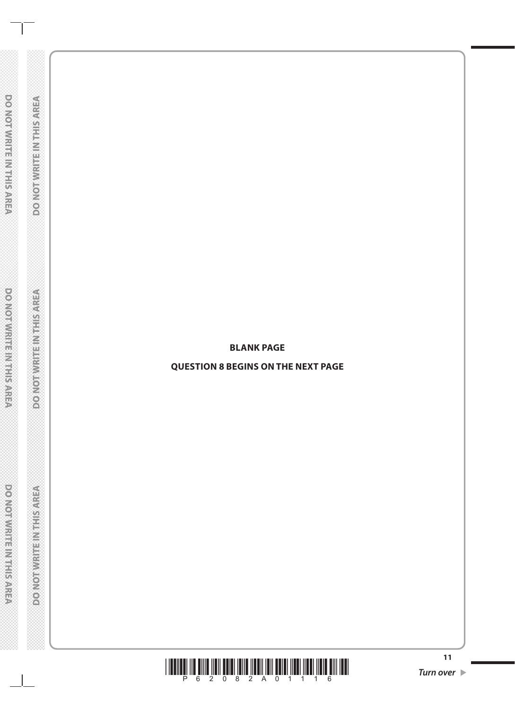**BLANK PAGE**

**QUESTION 8 BEGINS ON THE NEXT PAGE**

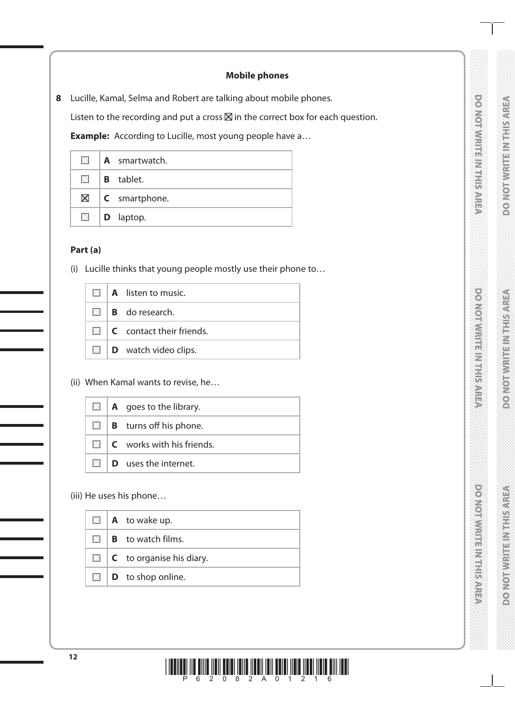# DO NOTWRITE IN THIS AREA

### **Mobile phones**

**8** Lucille, Kamal, Selma and Robert are talking about mobile phones.

Listen to the recording and put a cross  $\boxtimes$  in the correct box for each question.

**Example:** According to Lucille, most young people have a...

|  | $\blacksquare$   A smartwatch.     |
|--|------------------------------------|
|  | $\mathbb{R}$ <b>B</b> tablet.      |
|  | $\boxtimes$   <b>C</b> smartphone. |
|  | $\Box$ <b>D</b> laptop.            |

### **Part (a)**

(i) Lucille thinks that young people mostly use their phone to…

|  | $\boxtimes$   A listen to music.                    |
|--|-----------------------------------------------------|
|  | $\boxtimes$ <b>B</b> do research.                   |
|  | $\boxtimes$ $\blacksquare$ C contact their friends. |
|  | $\mathbb{Z}$   <b>D</b> watch video clips.          |

(ii) When Kamal wants to revise, he…

|  | $\mathbb{Z}$   <b>A</b> goes to the library. |
|--|----------------------------------------------|
|  | $\boxtimes$   <b>B</b> turns off his phone.  |
|  | $\Box$ $\Box$ $\Box$ works with his friends. |
|  | $\mathbb{N}$ <b>D</b> uses the internet.     |

(iii) He uses his phone…

|  | $\Box$   <b>A</b> to wake up.          |
|--|----------------------------------------|
|  | $\mathbb{R}$ <b>B</b> to watch films.  |
|  | $\Box$ <b>C</b> to organise his diary. |
|  | $\boxtimes$   <b>D</b> to shop online. |

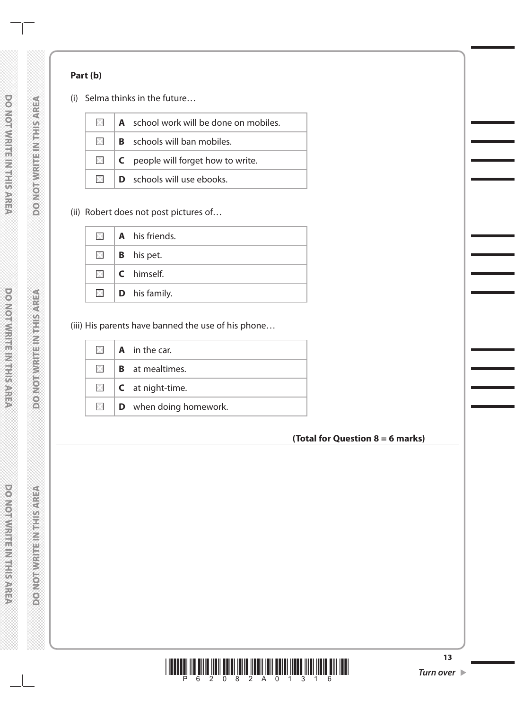## **Part (b)**

(i) Selma thinks in the future…

| $\times$ | A school work will be done on mobiles. |  |
|----------|----------------------------------------|--|
| $\times$ | <b>B</b> schools will ban mobiles.     |  |
| $\times$ | C people will forget how to write.     |  |
| $\times$ | <b>D</b> schools will use ebooks.      |  |

(ii) Robert does not post pictures of…

|  | $\blacksquare$   A his friends.  |
|--|----------------------------------|
|  | $\mathbb{Z}$   <b>B</b> his pet. |
|  | $\boxtimes$ I <b>C</b> himself.  |
|  | $\Box$ <b>D</b> his family.      |

# (iii) His parents have banned the use of his phone…

| $\times$          | <b>A</b> in the car.           |
|-------------------|--------------------------------|
| $\times$          | <b>B</b> at mealtimes.         |
|                   | $\Box$ <b>C</b> at night-time. |
| $\mathsf{\times}$ | <b>D</b> when doing homework.  |

# **(Total for Question 8 = 6 marks)**

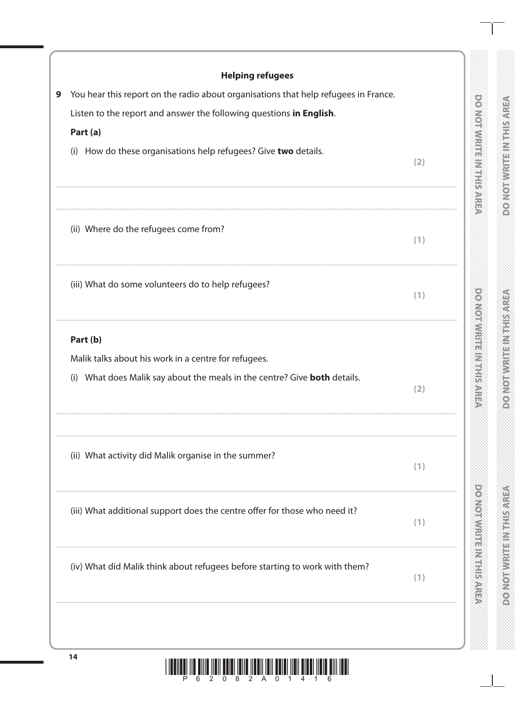| <b>Helping refugees</b>                                                             |     |
|-------------------------------------------------------------------------------------|-----|
| You hear this report on the radio about organisations that help refugees in France. |     |
| Listen to the report and answer the following questions in English.                 |     |
| Part (a)                                                                            |     |
| How do these organisations help refugees? Give two details.<br>(i)                  | (2) |
| (ii) Where do the refugees come from?                                               |     |
|                                                                                     | (1) |
| (iii) What do some volunteers do to help refugees?                                  | (1) |
| Part (b)                                                                            |     |
| Malik talks about his work in a centre for refugees.                                |     |
| What does Malik say about the meals in the centre? Give <b>both</b> details.<br>(i) | (2) |
| (ii) What activity did Malik organise in the summer?                                | (1) |
|                                                                                     |     |
| (iii) What additional support does the centre offer for those who need it?          | (1) |
| (iv) What did Malik think about refugees before starting to work with them?         | (1) |
|                                                                                     |     |
|                                                                                     |     |

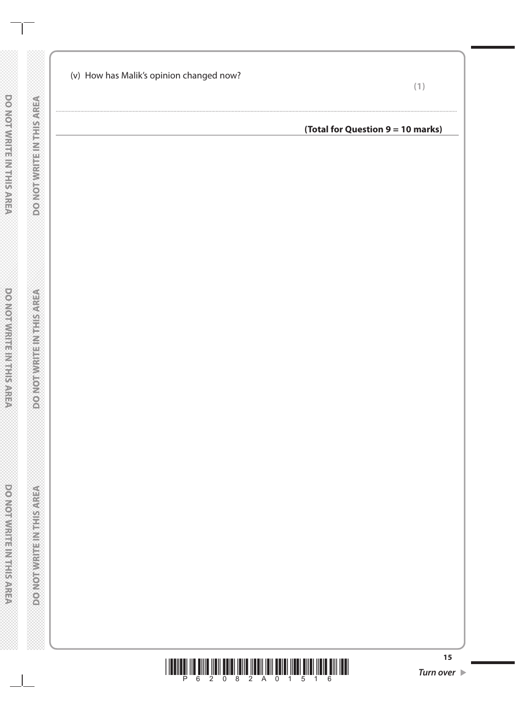| (v) How has Malik's opinion changed now? | (1                                |
|------------------------------------------|-----------------------------------|
|                                          | (Total for Question 9 = 10 marks) |
|                                          |                                   |



 $15$ 

**DO NOT WRITE IN THIS AREA** 

**DO NOTWEEPINGHIS AREA**